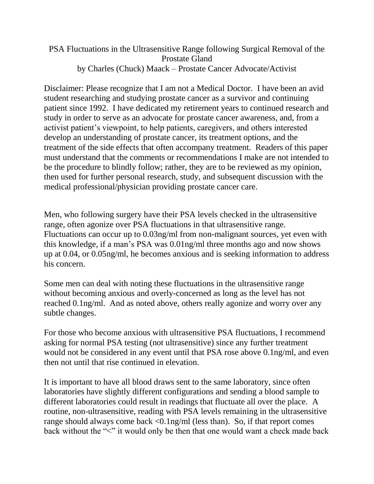## PSA Fluctuations in the Ultrasensitive Range following Surgical Removal of the Prostate Gland by Charles (Chuck) Maack – Prostate Cancer Advocate/Activist

Disclaimer: Please recognize that I am not a Medical Doctor. I have been an avid student researching and studying prostate cancer as a survivor and continuing patient since 1992. I have dedicated my retirement years to continued research and study in order to serve as an advocate for prostate cancer awareness, and, from a activist patient's viewpoint, to help patients, caregivers, and others interested develop an understanding of prostate cancer, its treatment options, and the treatment of the side effects that often accompany treatment. Readers of this paper must understand that the comments or recommendations I make are not intended to be the procedure to blindly follow; rather, they are to be reviewed as my opinion, then used for further personal research, study, and subsequent discussion with the medical professional/physician providing prostate cancer care.

Men, who following surgery have their PSA levels checked in the ultrasensitive range, often agonize over PSA fluctuations in that ultrasensitive range. Fluctuations can occur up to 0.03ng/ml from non-malignant sources, yet even with this knowledge, if a man's PSA was 0.01ng/ml three months ago and now shows up at 0.04, or 0.05ng/ml, he becomes anxious and is seeking information to address his concern.

Some men can deal with noting these fluctuations in the ultrasensitive range without becoming anxious and overly-concerned as long as the level has not reached 0.1ng/ml. And as noted above, others really agonize and worry over any subtle changes.

For those who become anxious with ultrasensitive PSA fluctuations, I recommend asking for normal PSA testing (not ultrasensitive) since any further treatment would not be considered in any event until that PSA rose above 0.1ng/ml, and even then not until that rise continued in elevation.

It is important to have all blood draws sent to the same laboratory, since often laboratories have slightly different configurations and sending a blood sample to different laboratories could result in readings that fluctuate all over the place. A routine, non-ultrasensitive, reading with PSA levels remaining in the ultrasensitive range should always come back <0.1ng/ml (less than). So, if that report comes back without the "<" it would only be then that one would want a check made back